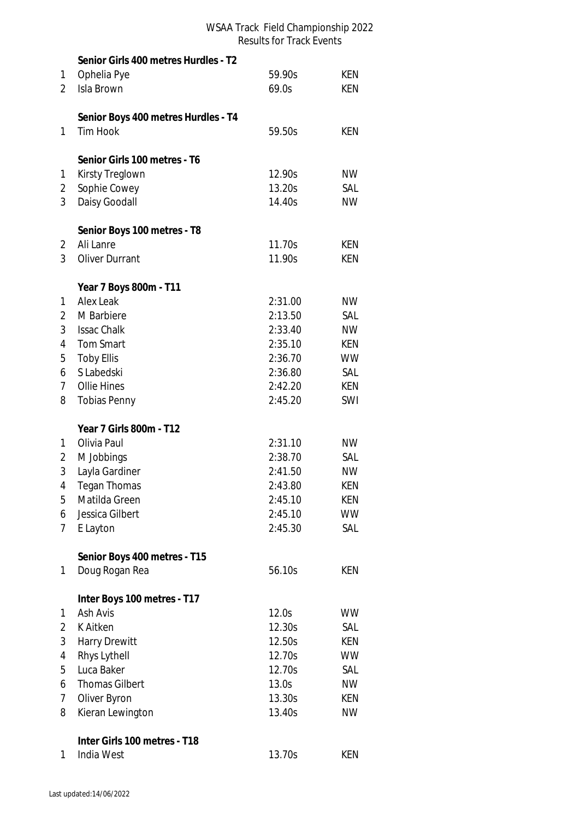|                | Senior Girls 400 metres Hurdles - T2 |         |            |
|----------------|--------------------------------------|---------|------------|
| 1              | Ophelia Pye                          | 59.90s  | <b>KEN</b> |
| 2              | Isla Brown                           | 69.0s   | <b>KEN</b> |
|                |                                      |         |            |
|                | Senior Boys 400 metres Hurdles - T4  |         |            |
| 1              | <b>Tim Hook</b>                      | 59.50s  | <b>KEN</b> |
|                | Senior Girls 100 metres - T6         |         |            |
| 1              | Kirsty Treglown                      | 12.90s  | <b>NW</b>  |
| 2              | Sophie Cowey                         | 13.20s  | SAL        |
| 3              | Daisy Goodall                        | 14.40s  | <b>NW</b>  |
|                |                                      |         |            |
|                | Senior Boys 100 metres - T8          |         |            |
| $\overline{2}$ | Ali Lanre                            | 11.70s  | KEN        |
| 3              | <b>Oliver Durrant</b>                | 11.90s  | KEN        |
|                | Year 7 Boys 800m - T11               |         |            |
| 1              | <b>Alex Leak</b>                     | 2:31.00 | <b>NW</b>  |
| 2              | M Barbiere                           | 2:13.50 | SAL        |
| 3              | <b>Issac Chalk</b>                   | 2:33.40 | <b>NW</b>  |
| 4              | <b>Tom Smart</b>                     | 2:35.10 | KEN        |
| 5              | <b>Toby Ellis</b>                    | 2:36.70 | <b>WW</b>  |
|                | S Labedski                           | 2:36.80 | SAL        |
| 6              |                                      |         |            |
| 7              | Ollie Hines                          | 2:42.20 | KEN        |
| 8              | <b>Tobias Penny</b>                  | 2:45.20 | SWI        |
|                | Year 7 Girls 800m - T12              |         |            |
| 1              | Olivia Paul                          | 2:31.10 | <b>NW</b>  |
| 2              | M Jobbings                           | 2:38.70 | SAL        |
| 3              | Layla Gardiner                       | 2:41.50 | <b>NW</b>  |
| 4              | <b>Tegan Thomas</b>                  | 2:43.80 | <b>KEN</b> |
| 5              | Matilda Green                        | 2:45.10 | <b>KEN</b> |
| 6              | Jessica Gilbert                      | 2:45.10 | <b>WW</b>  |
| 7              | E Layton                             | 2:45.30 | SAL        |
|                | Senior Boys 400 metres - T15         |         |            |
| 1              | Doug Rogan Rea                       | 56.10s  | KEN        |
|                |                                      |         |            |
|                | Inter Boys 100 metres - T17          |         |            |
| 1              | Ash Avis                             | 12.0s   | <b>WW</b>  |
| 2              | K Aitken                             | 12.30s  | SAL        |
| 3              | <b>Harry Drewitt</b>                 | 12.50s  | <b>KEN</b> |
| 4              | Rhys Lythell                         | 12.70s  | <b>WW</b>  |
| 5              | Luca Baker                           | 12.70s  | SAL        |
| 6              | <b>Thomas Gilbert</b>                | 13.0s   | <b>NW</b>  |
| 7              | Oliver Byron                         | 13.30s  | KEN        |
| 8              | Kieran Lewington                     | 13.40s  | <b>NW</b>  |
|                | Inter Girls 100 metres - T18         |         |            |
| 1              | India West                           | 13.70s  | KEN        |
|                |                                      |         |            |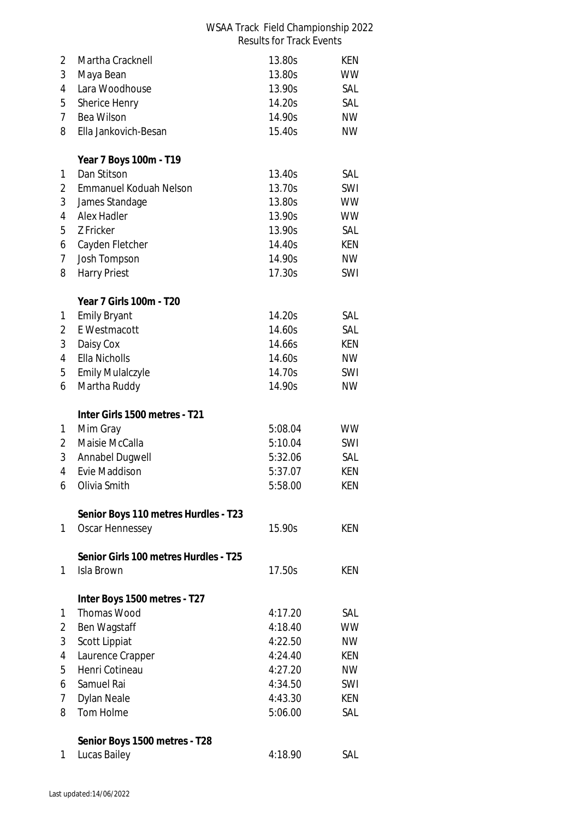| 2              | Martha Cracknell                      | 13.80s  | KEN        |
|----------------|---------------------------------------|---------|------------|
| 3              | Maya Bean                             | 13.80s  | <b>WW</b>  |
| 4              | Lara Woodhouse                        | 13.90s  | SAL        |
| 5              | Sherice Henry                         | 14.20s  | SAL        |
| $\overline{7}$ | Bea Wilson                            | 14.90s  | <b>NW</b>  |
| 8              | Ella Jankovich-Besan                  | 15.40s  | <b>NW</b>  |
|                | Year 7 Boys 100m - T19                |         |            |
| 1              | Dan Stitson                           | 13.40s  | SAL        |
| 2              | Emmanuel Koduah Nelson                | 13.70s  | SWI        |
| $\sqrt{3}$     | James Standage                        | 13.80s  | <b>WW</b>  |
| 4              | Alex Hadler                           | 13.90s  | <b>WW</b>  |
| 5              | Z Fricker                             | 13.90s  | SAL        |
| 6              | Cayden Fletcher                       | 14.40s  | KEN        |
| 7              | Josh Tompson                          | 14.90s  | <b>NW</b>  |
| 8              | <b>Harry Priest</b>                   | 17.30s  | SWI        |
|                | <b>Year 7 Girls 100m - T20</b>        |         |            |
| 1              | <b>Emily Bryant</b>                   | 14.20s  | SAL        |
| 2              | E Westmacott                          | 14.60s  | SAL        |
| 3              | Daisy Cox                             | 14.66s  | KEN        |
| 4              | Ella Nicholls                         | 14.60s  | <b>NW</b>  |
| 5              | <b>Emily Mulalczyle</b>               | 14.70s  | SWI        |
| 6              | Martha Ruddy                          | 14.90s  | NW         |
|                | Inter Girls 1500 metres - T21         |         |            |
| 1              | Mim Gray                              | 5:08.04 | <b>WW</b>  |
| 2              | Maisie McCalla                        | 5:10.04 | SWI        |
| 3              | Annabel Dugwell                       | 5:32.06 | SAL        |
| 4              | Evie Maddison                         | 5:37.07 | KEN        |
| 6              | Olivia Smith                          | 5:58.00 | KEN        |
|                | Senior Boys 110 metres Hurdles - T23  |         |            |
| 1              | Oscar Hennessey                       | 15.90s  | <b>KEN</b> |
|                | Senior Girls 100 metres Hurdles - T25 |         |            |
| 1              | Isla Brown                            | 17.50s  | KEN        |
|                | Inter Boys 1500 metres - T27          |         |            |
| 1              | <b>Thomas Wood</b>                    | 4:17.20 | SAL        |
| 2              | Ben Wagstaff                          | 4:18.40 | <b>WW</b>  |
| 3              | Scott Lippiat                         | 4:22.50 | <b>NW</b>  |
| 4              | Laurence Crapper                      | 4:24.40 | <b>KEN</b> |
| 5              | Henri Cotineau                        | 4:27.20 | <b>NW</b>  |
| 6              | Samuel Rai                            | 4:34.50 | SWI        |
| 7              | Dylan Neale                           | 4:43.30 | KEN        |
| 8              | Tom Holme                             | 5:06.00 | SAL        |
|                | Senior Boys 1500 metres - T28         |         |            |
| 1              | Lucas Bailey                          | 4:18.90 | SAL        |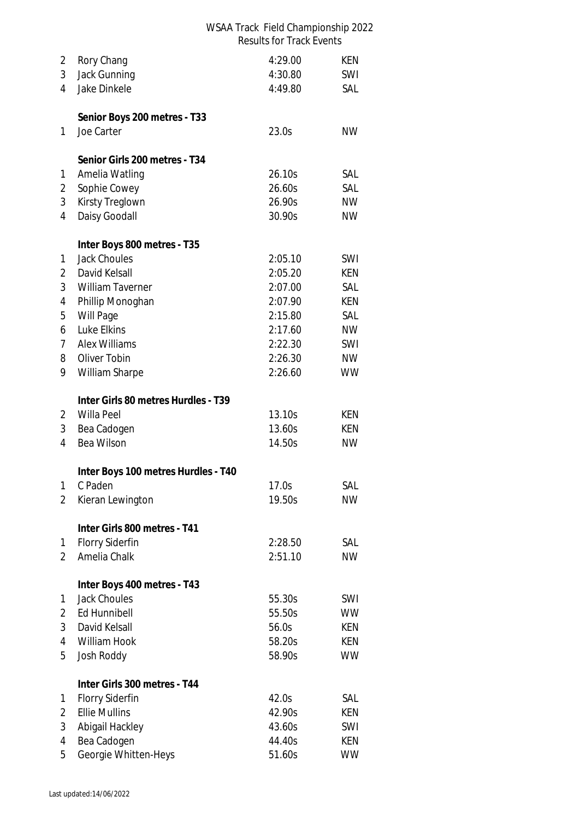| 2              | Rory Chang                          | 4:29.00 | KEN        |  |  |
|----------------|-------------------------------------|---------|------------|--|--|
| 3              | Jack Gunning                        | 4:30.80 | SWI        |  |  |
| $\overline{4}$ | Jake Dinkele                        | 4:49.80 | SAL        |  |  |
|                |                                     |         |            |  |  |
|                | Senior Boys 200 metres - T33        |         |            |  |  |
| 1              | Joe Carter                          | 23.0s   | <b>NW</b>  |  |  |
|                | Senior Girls 200 metres - T34       |         |            |  |  |
| 1              | Amelia Watling                      | 26.10s  | SAL        |  |  |
| 2              | Sophie Cowey                        | 26.60s  | SAL        |  |  |
| 3              | Kirsty Treglown                     | 26.90s  | NW         |  |  |
| 4              | Daisy Goodall                       | 30.90s  | <b>NW</b>  |  |  |
|                | Inter Boys 800 metres - T35         |         |            |  |  |
| 1              | <b>Jack Choules</b>                 | 2:05.10 | <b>SWI</b> |  |  |
| 2              | David Kelsall                       | 2:05.20 | KEN        |  |  |
| 3              | <b>William Taverner</b>             | 2:07.00 | SAL        |  |  |
| 4              | Phillip Monoghan                    | 2:07.90 | KEN        |  |  |
| 5              | Will Page                           | 2:15.80 | SAL        |  |  |
| 6              | Luke Elkins                         | 2:17.60 | <b>NW</b>  |  |  |
| 7              | <b>Alex Williams</b>                | 2:22.30 | SWI        |  |  |
| 8              | Oliver Tobin                        | 2:26.30 | <b>NW</b>  |  |  |
| 9              | William Sharpe                      | 2:26.60 | <b>WW</b>  |  |  |
|                | Inter Girls 80 metres Hurdles - T39 |         |            |  |  |
| 2              | Willa Peel                          | 13.10s  | KEN        |  |  |
| 3              | Bea Cadogen                         | 13.60s  | KEN        |  |  |
| 4              | Bea Wilson                          | 14.50s  | <b>NW</b>  |  |  |
|                | Inter Boys 100 metres Hurdles - T40 |         |            |  |  |
| 1              | C Paden                             | 17.0s   | SAL        |  |  |
| 2              | Kieran Lewington                    | 19.50s  | <b>NW</b>  |  |  |
|                |                                     |         |            |  |  |
|                | Inter Girls 800 metres - T41        |         |            |  |  |
| 1              | <b>Florry Siderfin</b>              | 2:28.50 | SAL        |  |  |
| 2              | Amelia Chalk                        | 2:51.10 | <b>NW</b>  |  |  |
|                | Inter Boys 400 metres - T43         |         |            |  |  |
| 1              | <b>Jack Choules</b>                 | 55.30s  | SWI        |  |  |
| 2              | <b>Ed Hunnibell</b>                 | 55.50s  | <b>WW</b>  |  |  |
| 3              | David Kelsall                       | 56.0s   | KEN        |  |  |
| 4              | William Hook                        | 58.20s  | KEN        |  |  |
| 5              | Josh Roddy                          | 58.90s  | <b>WW</b>  |  |  |
|                | Inter Girls 300 metres - T44        |         |            |  |  |
| 1              | <b>Florry Siderfin</b>              | 42.0s   | SAL        |  |  |
| 2              | <b>Ellie Mullins</b>                | 42.90s  | KEN        |  |  |
| 3              | Abigail Hackley                     | 43.60s  | SWI        |  |  |
| 4              | Bea Cadogen                         | 44.40s  | KEN        |  |  |
| 5              | Georgie Whitten-Heys                | 51.60s  | <b>WW</b>  |  |  |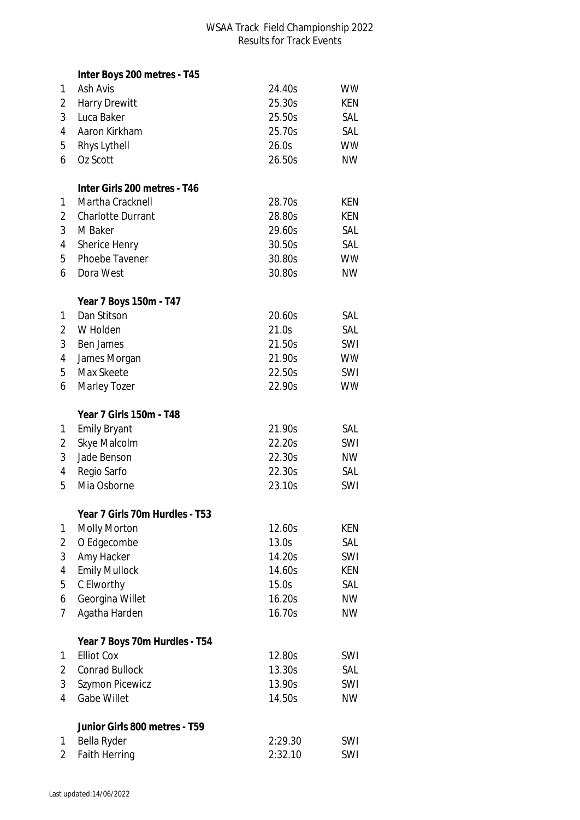|   | Inter Boys 200 metres - T45    |         |            |
|---|--------------------------------|---------|------------|
| 1 | Ash Avis                       | 24.40s  | <b>WW</b>  |
| 2 | <b>Harry Drewitt</b>           | 25.30s  | KEN        |
| 3 | Luca Baker                     | 25.50s  | SAL        |
| 4 | Aaron Kirkham                  | 25.70s  | SAL        |
| 5 | Rhys Lythell                   | 26.0s   | <b>WW</b>  |
| 6 | Oz Scott                       | 26.50s  | <b>NW</b>  |
|   |                                |         |            |
|   | Inter Girls 200 metres - T46   |         |            |
| 1 | Martha Cracknell               | 28.70s  | KEN        |
| 2 | <b>Charlotte Durrant</b>       | 28.80s  | <b>KEN</b> |
| 3 | M Baker                        | 29.60s  | SAL        |
| 4 | Sherice Henry                  | 30.50s  | SAL        |
| 5 | Phoebe Tavener                 | 30.80s  | <b>WW</b>  |
| 6 | Dora West                      | 30.80s  | <b>NW</b>  |
|   |                                |         |            |
|   | Year 7 Boys 150m - T47         |         |            |
| 1 | Dan Stitson                    | 20.60s  | SAL        |
| 2 | W Holden                       | 21.0s   | SAL        |
| 3 | Ben James                      | 21.50s  | SWI        |
| 4 | James Morgan                   | 21.90s  | <b>WW</b>  |
| 5 | Max Skeete                     | 22.50s  | SWI        |
| 6 | Marley Tozer                   | 22.90s  | <b>WW</b>  |
|   |                                |         |            |
|   | Year 7 Girls 150m - T48        |         |            |
| 1 | <b>Emily Bryant</b>            | 21.90s  | SAL        |
| 2 | Skye Malcolm                   | 22.20s  | SWI        |
| 3 | Jade Benson                    | 22.30s  | <b>NW</b>  |
| 4 | Regio Sarfo                    | 22.30s  | SAL        |
| 5 | Mia Osborne                    | 23.10s  | SWI        |
|   | Year 7 Girls 70m Hurdles - T53 |         |            |
| 1 | <b>Molly Morton</b>            | 12.60s  | <b>KEN</b> |
| 2 | O Edgecombe                    | 13.0s   | SAL        |
| 3 | Amy Hacker                     | 14.20s  | SWI        |
| 4 | <b>Emily Mullock</b>           | 14.60s  | KEN        |
| 5 | C Elworthy                     | 15.0s   | SAL        |
| 6 | Georgina Willet                | 16.20s  | <b>NW</b>  |
| 7 | Agatha Harden                  | 16.70s  | <b>NW</b>  |
|   |                                |         |            |
|   | Year 7 Boys 70m Hurdles - T54  |         |            |
| 1 | <b>Elliot Cox</b>              | 12.80s  | SWI        |
| 2 | <b>Conrad Bullock</b>          | 13.30s  | SAL        |
| 3 | Szymon Picewicz                | 13.90s  | SWI        |
| 4 | <b>Gabe Willet</b>             | 14.50s  | <b>NW</b>  |
|   | Junior Girls 800 metres - T59  |         |            |
| 1 | Bella Ryder                    | 2:29.30 | SWI        |
| 2 | <b>Faith Herring</b>           | 2:32.10 | SWI        |
|   |                                |         |            |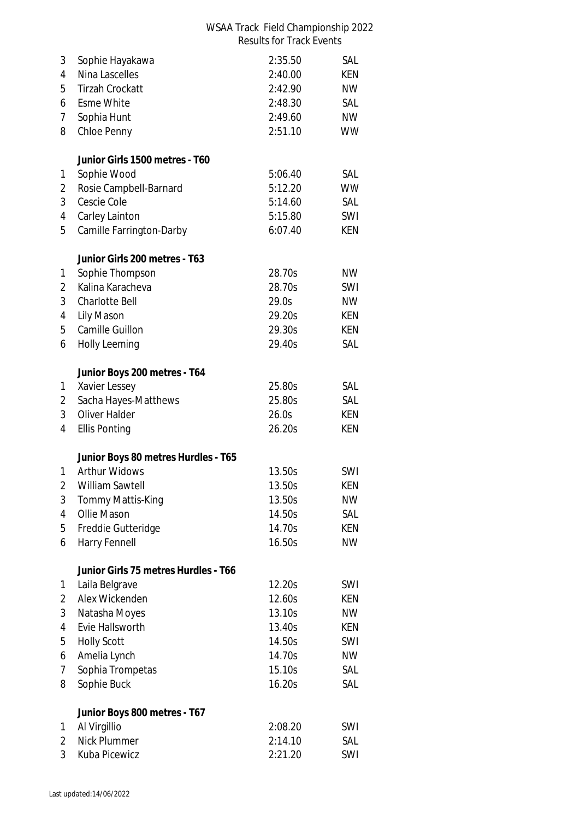| 3              | Sophie Hayakawa                      | 2:35.50            | SAL        |
|----------------|--------------------------------------|--------------------|------------|
| 4              | Nina Lascelles                       | 2:40.00            | <b>KEN</b> |
| 5              | <b>Tirzah Crockatt</b>               | 2:42.90            | <b>NW</b>  |
| 6              | <b>Esme White</b>                    | 2:48.30            | SAL        |
| 7              | Sophia Hunt                          | 2:49.60            | <b>NW</b>  |
| 8              | Chloe Penny                          | 2:51.10            | <b>WW</b>  |
|                | Junior Girls 1500 metres - T60       |                    |            |
| 1              | Sophie Wood                          | 5:06.40            | SAL        |
| 2              | Rosie Campbell-Barnard               | 5:12.20            | <b>WW</b>  |
| 3              | Cescie Cole                          | 5:14.60            | SAL        |
| 4              | Carley Lainton                       | 5:15.80            | SWI        |
| 5              | Camille Farrington-Darby             | 6:07.40            | KEN        |
|                | Junior Girls 200 metres - T63        |                    |            |
| 1              | Sophie Thompson                      | 28.70s             | <b>NW</b>  |
| $\overline{2}$ | Kalina Karacheva                     | 28.70s             | SWI        |
| 3              | <b>Charlotte Bell</b>                | 29.0s              | <b>NW</b>  |
| 4              | Lily Mason                           | 29.20s             | KEN        |
| 5              | Camille Guillon                      | 29.30s             | <b>KEN</b> |
| 6              | <b>Holly Leeming</b>                 | 29.40s             | SAL        |
|                | Junior Boys 200 metres - T64         |                    |            |
| 1              | Xavier Lessey                        | 25.80s             | SAL        |
| 2              | Sacha Hayes-Matthews                 | 25.80s             | SAL        |
| 3              | Oliver Halder                        | 26.0s              | KEN        |
| 4              | <b>Ellis Ponting</b>                 | 26.20s             | <b>KEN</b> |
|                | Junior Boys 80 metres Hurdles - T65  |                    |            |
| 1              | <b>Arthur Widows</b>                 | 13.50s             | SWI        |
| 2              | William Sawtell                      | 13.50s             | KEN        |
| 3              | Tommy Mattis-King                    | 13.50s             | <b>NW</b>  |
| 4              | Ollie Mason                          | 14.50s             | SAL        |
| 5              | Freddie Gutteridge                   | 14.70s             | KEN        |
| 6              | Harry Fennell                        | 16.50s             | <b>NW</b>  |
|                | Junior Girls 75 metres Hurdles - T66 |                    |            |
| 1              | Laila Belgrave                       | 12.20s             | SWI        |
| 2              | Alex Wickenden                       | 12.60s             | KEN        |
| 3              | Natasha Moyes                        | 13.10s             | <b>NW</b>  |
| 4              | Evie Hallsworth                      | 13.40s             | KEN        |
| 5              | <b>Holly Scott</b>                   | 14.50s             | SWI        |
| 6              | Amelia Lynch                         | 14.70s             | <b>NW</b>  |
| 7              | Sophia Trompetas                     | 15.10s             | SAL        |
| 8              | Sophie Buck                          | 16.20s             | SAL        |
|                | Junior Boys 800 metres - T67         |                    |            |
| 1              | Al Virgillio                         | 2:08.20            | SWI        |
| 2<br>3         | Nick Plummer<br>Kuba Picewicz        | 2:14.10<br>2:21.20 | SAL<br>SWI |
|                |                                      |                    |            |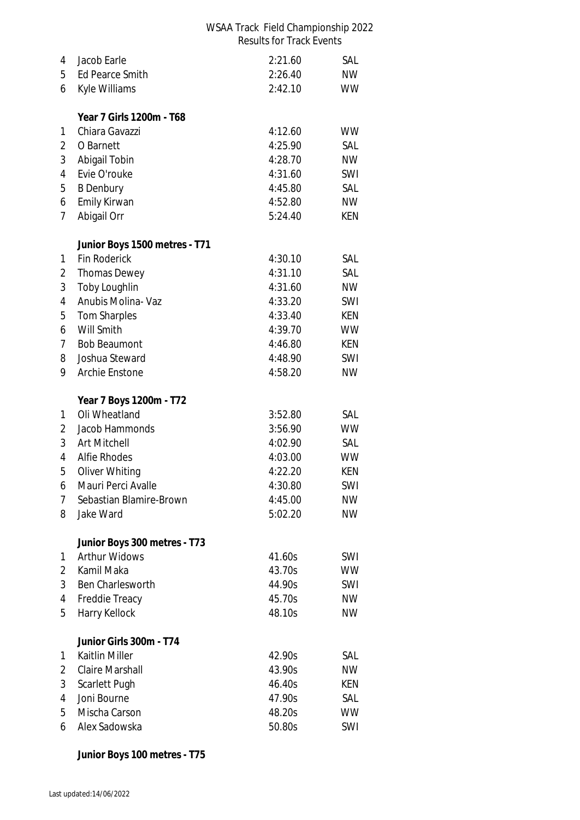| 4              | Jacob Earle                              | 2:21.60            | SAL        |
|----------------|------------------------------------------|--------------------|------------|
| 5              | <b>Ed Pearce Smith</b>                   | 2:26.40            | <b>NW</b>  |
| 6              | Kyle Williams                            | 2:42.10            | <b>WW</b>  |
|                |                                          |                    |            |
|                | Year 7 Girls 1200m - T68                 |                    |            |
| 1              | Chiara Gavazzi                           | 4:12.60            | <b>WW</b>  |
| 2              | O Barnett                                | 4:25.90            | SAL        |
| 3              | Abigail Tobin                            | 4:28.70            | <b>NW</b>  |
| 4              | Evie O'rouke                             | 4:31.60            | SWI        |
| 5              | <b>B</b> Denbury                         | 4:45.80            | SAL        |
| 6              | Emily Kirwan                             | 4:52.80            | <b>NW</b>  |
| 7              | Abigail Orr                              | 5:24.40            | KEN        |
|                | Junior Boys 1500 metres - T71            |                    |            |
| 1              | <b>Fin Roderick</b>                      | 4:30.10            | SAL        |
| 2              | <b>Thomas Dewey</b>                      | 4:31.10            | SAL        |
| 3              | Toby Loughlin                            | 4:31.60            | <b>NW</b>  |
| 4              | Anubis Molina- Vaz                       | 4:33.20            | SWI        |
| 5              | <b>Tom Sharples</b>                      | 4:33.40            | KEN        |
| 6              | Will Smith                               | 4:39.70            | <b>WW</b>  |
| 7              | <b>Bob Beaumont</b>                      | 4:46.80            | <b>KEN</b> |
| 8              | Joshua Steward                           | 4:48.90            | SWI        |
| 9              | Archie Enstone                           | 4:58.20            | <b>NW</b>  |
|                |                                          |                    |            |
| 1              | Year 7 Boys 1200m - T72<br>Oli Wheatland | 3:52.80            | SAL        |
|                | Jacob Hammonds                           | 3:56.90            | <b>WW</b>  |
| 2<br>3         | Art Mitchell                             | 4:02.90            | SAL        |
| 4              | <b>Alfie Rhodes</b>                      |                    | <b>WW</b>  |
| 5              | Oliver Whiting                           | 4:03.00<br>4:22.20 | <b>KEN</b> |
| 6              | Mauri Perci Avalle                       | 4:30.80            | SWI        |
| $\overline{7}$ | Sebastian Blamire-Brown                  | 4:45.00            |            |
|                |                                          |                    | <b>NW</b>  |
| 8              | Jake Ward                                | 5:02.20            | <b>NW</b>  |
|                | Junior Boys 300 metres - T73             |                    |            |
| 1              | <b>Arthur Widows</b>                     | 41.60s             | SWI        |
| 2              | Kamil Maka                               | 43.70s             | <b>WW</b>  |
| 3              | Ben Charlesworth                         | 44.90s             | SWI        |
| 4              | Freddie Treacy                           | 45.70s             | <b>NW</b>  |
| 5              | Harry Kellock                            | 48.10s             | <b>NW</b>  |
|                | Junior Girls 300m - T74                  |                    |            |
| 1              | Kaitlin Miller                           | 42.90s             | SAL        |
| 2              | <b>Claire Marshall</b>                   | 43.90s             | <b>NW</b>  |
| 3              |                                          | 46.40s             | KEN        |
|                | Scarlett Pugh                            |                    |            |
| 4              | Joni Bourne                              | 47.90s             | SAL        |
| 5              | Mischa Carson                            | 48.20s             | <b>WW</b>  |

**Junior Boys 100 metres - T75**